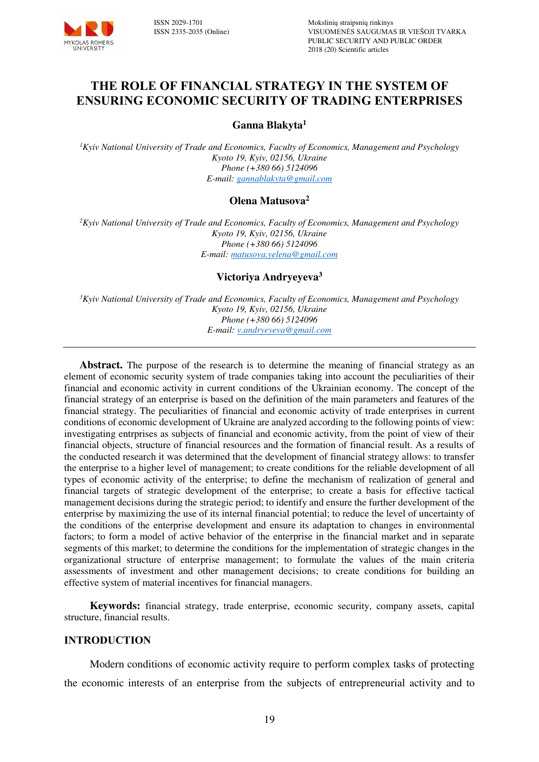

### **THE ROLE OF FINANCIAL STRATEGY IN THE SYSTEM OF ENSURING ECONOMIC SECURITY OF TRADING ENTERPRISES**

### **Ganna Blakyta<sup>1</sup>**

*<sup>1</sup>Kyiv National University of Trade and Economics, Faculty of Economics, Management and Psychology Kyoto 19, Kyiv, 02156, Ukraine Phone (+380 66) 5124096 E-mail: [gannablakyta@gmail.com](mailto:gannablakyta@gmail.com)* 

### **Olena Matusova<sup>2</sup>**

*<sup>2</sup>Kyiv National University of Trade and Economics, Faculty of Economics, Management and Psychology Kyoto 19, Kyiv, 02156, Ukraine Phone (+380 66) 5124096 E-mail: [matusova.yelena@gmail.com](mailto:matusova.yelena@gmail.com)*

### **Victoriya Andryeyeva<sup>3</sup>**

*<sup>3</sup>Kyiv National University of Trade and Economics, Faculty of Economics, Management and Psychology Kyoto 19, Kyiv, 02156, Ukraine Phone (+380 66) 5124096 E-mail: [v.andryeyeva@gmail.com](mailto:v.andryeyeva@gmail.com)* 

**Abstract.** The purpose of the research is to determine the meaning of financial strategy as an element of economic security system of trade companies taking into account the peculiarities of their financial and economic activity in current conditions of the Ukrainian economy. The concept of the financial strategy of an enterprise is based on the definition of the main parameters and features of the financial strategy. The peculiarities of financial and economic activity of trade enterprises in current conditions of economic development of Ukraine are analyzed according to the following points of view: investigating entrprises as subjects of financial and economic activity, from the point of view of their financial objects, structure of financial resources and the formation of financial result. As a results of the conducted research it was determined that the development of financial strategy allows: to transfer the enterprise to a higher level of management; to create conditions for the reliable development of all types of economic activity of the enterprise; to define the mechanism of realization of general and financial targets of strategic development of the enterprise; to create a basis for effective tactical management decisions during the strategic period; to identify and ensure the further development of the enterprise by maximizing the use of its internal financial potential; to reduce the level of uncertainty of the conditions of the enterprise development and ensure its adaptation to changes in environmental factors; to form a model of active behavior of the enterprise in the financial market and in separate segments of this market; to determine the conditions for the implementation of strategic changes in the organizational structure of enterprise management; to formulate the values of the main criteria assessments of investment and other management decisions; to create conditions for building an effective system of material incentives for financial managers.

**Keywords:** financial strategy, trade enterprise, economic security, company assets, capital structure, financial results.

#### **INTRODUCTION**

Modern conditions of economic activity require to perform complex tasks of protecting the economic interests of an enterprise from the subjects of entrepreneurial activity and to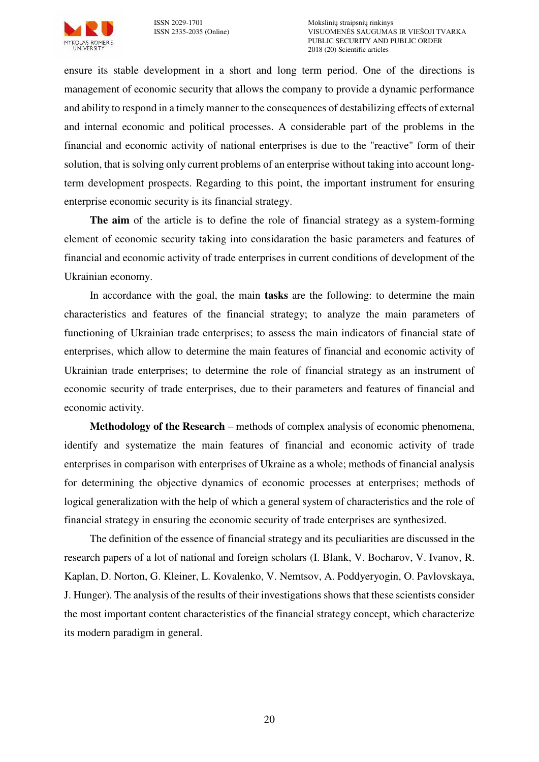ensure its stable development in a short and long term period. One of the directions is management of economic security that allows the company to provide a dynamic performance and ability to respond in a timely manner to the consequences of destabilizing effects of external and internal economic and political processes. A considerable part of the problems in the financial and economic activity of national enterprises is due to the "reactive" form of their solution, that is solving only current problems of an enterprise without taking into account longterm development prospects. Regarding to this point, the important instrument for ensuring enterprise economic security is its financial strategy.

**The aim** of the article is to define the role of financial strategy as a system-forming element of economic security taking into considaration the basic parameters and features of financial and economic activity of trade enterprises in current conditions of development of the Ukrainian economy.

In accordance with the goal, the main **tasks** are the following: to determine the main characteristics and features of the financial strategy; to analyze the main parameters of functioning of Ukrainian trade enterprises; to assess the main indicators of financial state of enterprises, which allow to determine the main features of financial and economic activity of Ukrainian trade enterprises; to determine the role of financial strategy as an instrument of economic security of trade enterprises, due to their parameters and features of financial and economic activity.

**Methodology of the Research** – methods of complex analysis of economic phenomena, identify and systematize the main features of financial and economic activity of trade enterprises in comparison with enterprises of Ukraine as a whole; methods of financial analysis for determining the objective dynamics of economic processes at enterprises; methods of logical generalization with the help of which a general system of characteristics and the role of financial strategy in ensuring the economic security of trade enterprises are synthesized.

The definition of the essence of financial strategy and its peculiarities are discussed in the research papers of a lot of national and foreign scholars (I. Blank, V. Bocharov, V. Ivanov, R. Kaplan, D. Norton, G. Kleiner, L. Kovalenko, V. Nemtsov, A. Poddyeryogin, O. Pavlovskaya, J. Hunger). The analysis of the results of their investigations shows that these scientists consider the most important content characteristics of the financial strategy concept, which characterize its modern paradigm in general.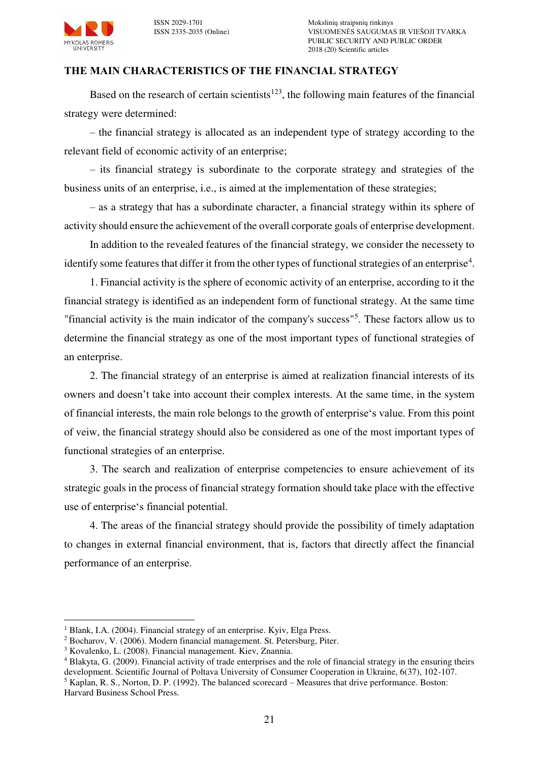

### **THE MAIN CHARACTERISTICS OF THE FINANCIAL STRATEGY**

Based on the research of certain scientists<sup>123</sup>, the following main features of the financial strategy were determined:

– the financial strategy is allocated as an independent type of strategy according to the relevant field of economic activity of an enterprise;

– its financial strategy is subordinate to the corporate strategy and strategies of the business units of an enterprise, i.e., is aimed at the implementation of these strategies;

– as a strategy that has a subordinate character, a financial strategy within its sphere of activity should ensure the achievement of the overall corporate goals of enterprise development.

In addition to the revealed features of the financial strategy, we consider the necessety to identify some features that differ it from the other types of functional strategies of an enterprise<sup>4</sup>.

1. Financial activity is the sphere of economic activity of an enterprise, according to it the financial strategy is identified as an independent form of functional strategy. At the same time "financial activity is the main indicator of the company's success"<sup>5</sup>. These factors allow us to determine the financial strategy as one of the most important types of functional strategies of an enterprise.

2. The financial strategy of an enterprise is aimed at realization financial interests of its owners and doesn't take into account their complex interests. At the same time, in the system of financial interests, the main role belongs to the growth of enterprise's value. From this point of veiw, the financial strategy should also be considered as one of the most important types of functional strategies of an enterprise.

3. The search and realization of enterprise competencies to ensure achievement of its strategic goals in the process of financial strategy formation should take place with the effective use of enterprise's financial potential.

4. The areas of the financial strategy should provide the possibility of timely adaptation to changes in external financial environment, that is, factors that directly affect the financial performance of an enterprise.

 $\overline{a}$ 

<sup>&</sup>lt;sup>1</sup> Blank, I.A. (2004). Financial strategy of an enterprise. Kyiv, Elga Press.

<sup>&</sup>lt;sup>2</sup> Bocharov, V. (2006). Modern financial management. St. Petersburg, Piter.

<sup>3</sup> Kovalenko, L. (2008). Financial management. Kiev, Znannia.

<sup>&</sup>lt;sup>4</sup> Blakyta, G. (2009). Financial activity of trade enterprises and the role of financial strategy in the ensuring theirs development. Scientific Journal of Poltava University of Consumer Cooperation in Ukraine, 6(37), 102-107.

<sup>&</sup>lt;sup>5</sup> Kaplan, R. S., Norton, D. P. (1992). The balanced scorecard – Measures that drive performance. Boston: Harvard Business School Press.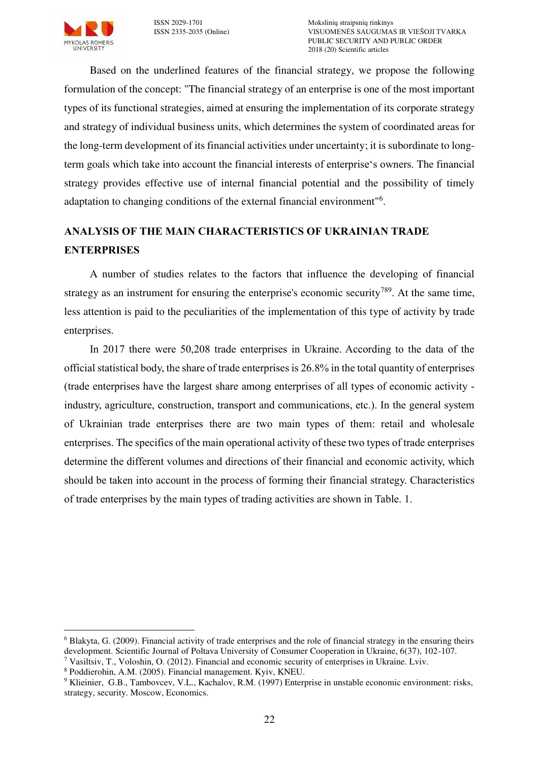$\overline{a}$ 

Based on the underlined features of the financial strategy, we propose the following formulation of the concept: "The financial strategy of an enterprise is one of the most important types of its functional strategies, aimed at ensuring the implementation of its corporate strategy and strategy of individual business units, which determines the system of coordinated areas for the long-term development of its financial activities under uncertainty; it is subordinate to longterm goals which take into account the financial interests of enterprise's owners. The financial strategy provides effective use of internal financial potential and the possibility of timely adaptation to changing conditions of the external financial environment<sup>16</sup>.

## **ANALYSIS OF THE MAIN CHARACTERISTICS OF UKRAINIAN TRADE ENTERPRISES**

A number of studies relates to the factors that influence the developing of financial strategy as an instrument for ensuring the enterprise's economic security<sup>789</sup>. At the same time, less attention is paid to the peculiarities of the implementation of this type of activity by trade enterprises.

In 2017 there were 50,208 trade enterprises in Ukraine. According to the data of the official statistical body, the share of trade enterprises is 26.8% in the total quantity of enterprises (trade enterprises have the largest share among enterprises of all types of economic activity industry, agriculture, construction, transport and communications, etc.). In the general system of Ukrainian trade enterprises there are two main types of them: retail and wholesale enterprises. The specifics of the main operational activity of these two types of trade enterprises determine the different volumes and directions of their financial and economic activity, which should be taken into account in the process of forming their financial strategy. Characteristics of trade enterprises by the main types of trading activities are shown in Table. 1.

<sup>&</sup>lt;sup>6</sup> Blakyta, G. (2009). Financial activity of trade enterprises and the role of financial strategy in the ensuring theirs development. Scientific Journal of Poltava University of Consumer Cooperation in Ukraine, 6(37), 102-107. 7 Vasiltsiv, T., Voloshin, O. (2012). Financial and economic security of enterprises in Ukraine. Lviv.

<sup>8</sup> Poddierohin, A.M. (2005). Financial management. Kyiv, KNEU.

<sup>&</sup>lt;sup>9</sup> Klieinier, G.B., Tambovcev, V.L., Kachalov, R.M. (1997) Enterprise in unstable economic environment: risks, strategy, security. Moscow, Economics.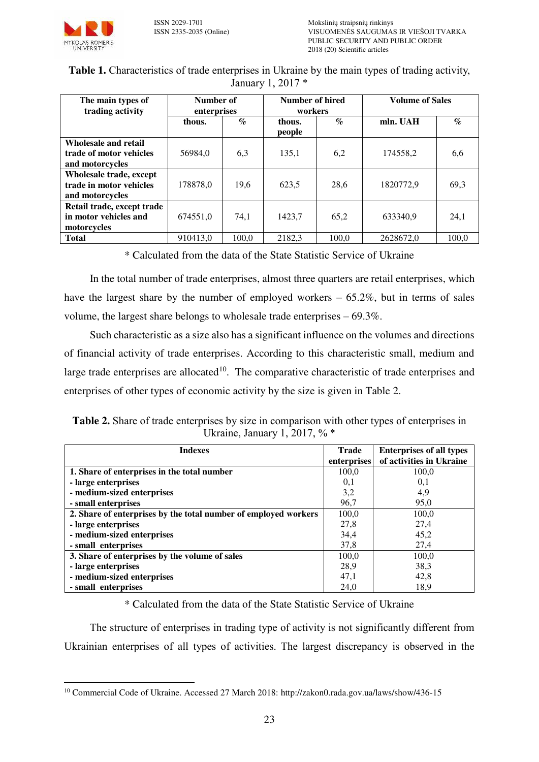

**Table 1.** Characteristics of trade enterprises in Ukraine by the main types of trading activity, January 1, 2017 \*

| The main types of<br>trading activity                                 | Number of<br>enterprises |                 | Number of hired<br>workers |                             | <b>Volume of Sales</b> |                |
|-----------------------------------------------------------------------|--------------------------|-----------------|----------------------------|-----------------------------|------------------------|----------------|
|                                                                       | thous.                   | $\mathcal{O}_0$ | thous.<br>people           | $\mathcal{G}_{\mathcal{O}}$ | mln. UAH               | $\mathcal{O}'$ |
| Wholesale and retail<br>trade of motor vehicles<br>and motorcycles    | 56984,0                  | 6,3             | 135,1                      | 6,2                         | 174558,2               | 6,6            |
| Wholesale trade, except<br>trade in motor vehicles<br>and motorcycles | 178878,0                 | 19,6            | 623,5                      | 28,6                        | 1820772.9              | 69.3           |
| Retail trade, except trade<br>in motor vehicles and<br>motorcycles    | 674551.0                 | 74,1            | 1423.7                     | 65,2                        | 633340.9               | 24,1           |
| <b>Total</b>                                                          | 910413.0                 | 100.0           | 2182.3                     | 100.0                       | 2628672.0              | 100.0          |

\* Calculated from the data of the State Statistic Service of Ukraine

In the total number of trade enterprises, almost three quarters are retail enterprises, which have the largest share by the number of employed workers  $-65.2\%$ , but in terms of sales volume, the largest share belongs to wholesale trade enterprises – 69.3%.

Such characteristic as a size also has a significant influence on the volumes and directions of financial activity of trade enterprises. According to this characteristic small, medium and large trade enterprises are allocated<sup>10</sup>. The comparative characteristic of trade enterprises and enterprises of other types of economic activity by the size is given in Table 2.

**Table 2.** Share of trade enterprises by size in comparison with other types of enterprises in Ukraine, January 1, 2017, % \*

| <b>Indexes</b>                                                  | <b>Trade</b> | <b>Enterprises of all types</b> |
|-----------------------------------------------------------------|--------------|---------------------------------|
|                                                                 | enterprises  | of activities in Ukraine        |
| 1. Share of enterprises in the total number                     | 100.0        | 100.0                           |
| - large enterprises                                             | 0,1          | 0,1                             |
| - medium-sized enterprises                                      | 3,2          | 4,9                             |
| - small enterprises                                             | 96,7         | 95,0                            |
| 2. Share of enterprises by the total number of employed workers | 100,0        | 100,0                           |
| - large enterprises                                             | 27,8         | 27.4                            |
| - medium-sized enterprises                                      | 34,4         | 45,2                            |
| - small enterprises                                             | 37,8         | 27,4                            |
| 3. Share of enterprises by the volume of sales                  | 100.0        | 100.0                           |
| - large enterprises                                             | 28,9         | 38,3                            |
| - medium-sized enterprises                                      | 47,1         | 42,8                            |
| - small enterprises                                             | 24.0         | 18.9                            |

\* Calculated from the data of the State Statistic Service of Ukraine

The structure of enterprises in trading type of activity is not significantly different from Ukrainian enterprises of all types of activities. The largest discrepancy is observed in the

 $\overline{a}$ <sup>10</sup> Commercial Code of Ukraine. Accessed 27 March 2018: http://zakon0.rada.gov.ua/laws/show/436-15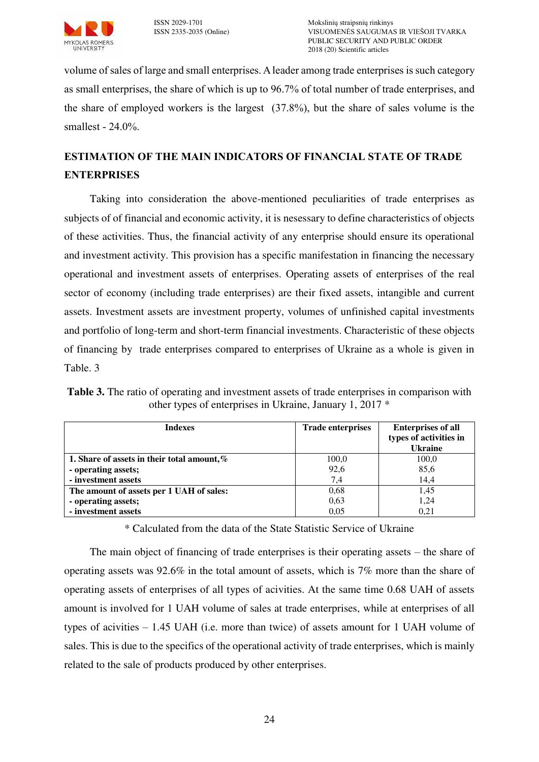

volume of sales of large and small enterprises. A leader among trade enterprises is such category as small enterprises, the share of which is up to 96.7% of total number of trade enterprises, and the share of employed workers is the largest (37.8%), but the share of sales volume is the smallest - 24.0%.

## **ESTIMATION OF THE MAIN INDICATORS OF FINANCIAL STATE OF TRADE ENTERPRISES**

Taking into consideration the above-mentioned peculiarities of trade enterprises as subjects of of financial and economic activity, it is nesessary to define characteristics of objects of these activities. Thus, the financial activity of any enterprise should ensure its operational and investment activity. This provision has a specific manifestation in financing the necessary operational and investment assets of enterprises. Operating assets of enterprises of the real sector of economy (including trade enterprises) are their fixed assets, intangible and current assets. Investment assets are investment property, volumes of unfinished capital investments and portfolio of long-term and short-term financial investments. Characteristic of these objects of financing by trade enterprises compared to enterprises of Ukraine as a whole is given in Table. 3

**Table 3.** The ratio of operating and investment assets of trade enterprises in comparison with other types of enterprises in Ukraine, January 1, 2017 \*

| <b>Indexes</b>                                | <b>Trade enterprises</b> | <b>Enterprises of all</b><br>types of activities in<br><b>Ukraine</b> |
|-----------------------------------------------|--------------------------|-----------------------------------------------------------------------|
| 1. Share of assets in their total amount, $%$ | 100,0                    | 100,0                                                                 |
| - operating assets;                           | 92,6                     | 85,6                                                                  |
| - investment assets                           | 7.4                      | 14.4                                                                  |
| The amount of assets per 1 UAH of sales:      | 0,68                     | 1.45                                                                  |
| - operating assets;                           | 0.63                     | 1,24                                                                  |
| - investment assets                           | 0.05                     | 0.21                                                                  |

\* Calculated from the data of the State Statistic Service of Ukraine

The main object of financing of trade enterprises is their operating assets – the share of operating assets was 92.6% in the total amount of assets, which is 7% more than the share of operating assets of enterprises of all types of acivities. At the same time 0.68 UAH of assets amount is involved for 1 UAH volume of sales at trade enterprises, while at enterprises of all types of acivities – 1.45 UAH (i.e. more than twice) of assets amount for 1 UAH volume of sales. This is due to the specifics of the operational activity of trade enterprises, which is mainly related to the sale of products produced by other enterprises.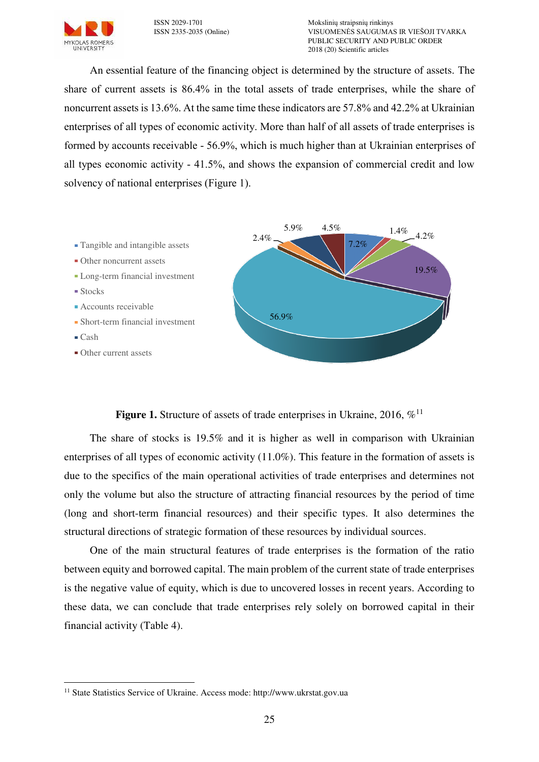

An essential feature of the financing object is determined by the structure of assets. The share of current assets is 86.4% in the total assets of trade enterprises, while the share of noncurrent assets is 13.6%. At the same time these indicators are 57.8% and 42.2% at Ukrainian enterprises of all types of economic activity. More than half of all assets of trade enterprises is formed by accounts receivable - 56.9%, which is much higher than at Ukrainian enterprises of all types economic activity - 41.5%, and shows the expansion of commercial credit and low solvency of national enterprises (Figure 1).



**Figure 1.** Structure of assets of trade enterprises in Ukraine, 2016,  $\%$ <sup>11</sup>

The share of stocks is 19.5% and it is higher as well in comparison with Ukrainian enterprises of all types of economic activity (11.0%). This feature in the formation of assets is due to the specifics of the main operational activities of trade enterprises and determines not only the volume but also the structure of attracting financial resources by the period of time (long and short-term financial resources) and their specific types. It also determines the structural directions of strategic formation of these resources by individual sources.

One of the main structural features of trade enterprises is the formation of the ratio between equity and borrowed capital. The main problem of the current state of trade enterprises is the negative value of equity, which is due to uncovered losses in recent years. According to these data, we can conclude that trade enterprises rely solely on borrowed capital in their financial activity (Table 4).

 $\overline{a}$ 

<sup>11</sup> State Statistics Service of Ukraine. Access mode: [http://www.ukrstat.gov.ua](http://www.ukrstat.gov.ua/)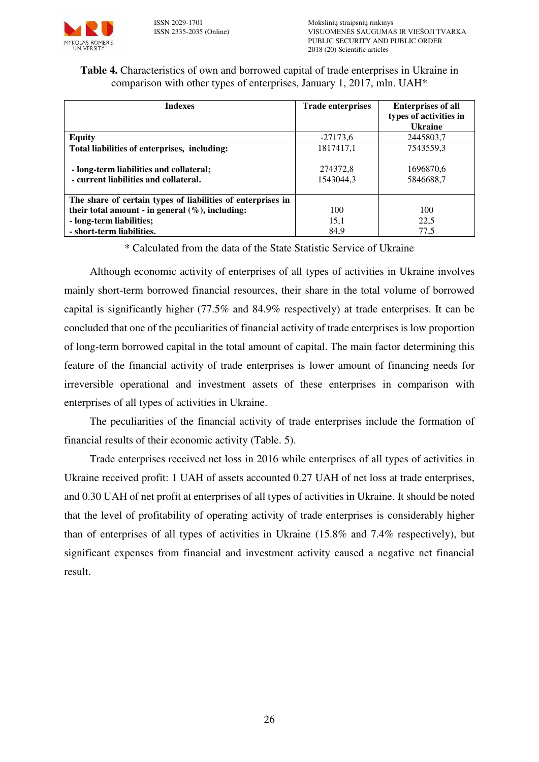

**Table 4.** Characteristics of own and borrowed capital of trade enterprises in Ukraine in comparison with other types of enterprises, January 1, 2017, mln. UAH\*

| <b>Indexes</b>                                                                   | <b>Trade enterprises</b> | <b>Enterprises of all</b>                |
|----------------------------------------------------------------------------------|--------------------------|------------------------------------------|
|                                                                                  |                          | types of activities in<br><b>Ukraine</b> |
| Equity                                                                           | $-27173,6$               | 2445803,7                                |
| Total liabilities of enterprises, including:                                     | 1817417,1                | 7543559,3                                |
| - long-term liabilities and collateral;<br>- current liabilities and collateral. | 274372,8<br>1543044.3    | 1696870,6<br>5846688,7                   |
| The share of certain types of liabilities of enterprises in                      |                          |                                          |
| their total amount - in general $(\%)$ , including:                              | 100                      | 100                                      |
| - long-term liabilities;                                                         | 15,1                     | 22,5                                     |
| - short-term liabilities.                                                        | 84.9                     | 77,5                                     |

\* Calculated from the data of the State Statistic Service of Ukraine

Although economic activity of enterprises of all types of activities in Ukraine involves mainly short-term borrowed financial resources, their share in the total volume of borrowed capital is significantly higher (77.5% and 84.9% respectively) at trade enterprises. It can be concluded that one of the peculiarities of financial activity of trade enterprises is low proportion of long-term borrowed capital in the total amount of capital. The main factor determining this feature of the financial activity of trade enterprises is lower amount of financing needs for irreversible operational and investment assets of these enterprises in comparison with enterprises of all types of activities in Ukraine.

The peculiarities of the financial activity of trade enterprises include the formation of financial results of their economic activity (Table. 5).

Trade enterprises received net loss in 2016 while enterprises of all types of activities in Ukraine received profit: 1 UAH of assets accounted 0.27 UAH of net loss at trade enterprises, and 0.30 UAH of net profit at enterprises of all types of activities in Ukraine. It should be noted that the level of profitability of operating activity of trade enterprises is considerably higher than of enterprises of all types of activities in Ukraine (15.8% and 7.4% respectively), but significant expenses from financial and investment activity caused a negative net financial result.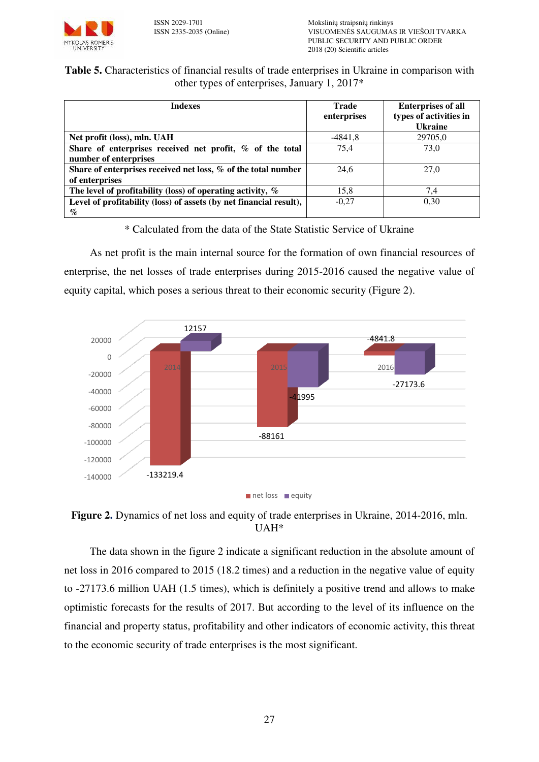

**Table 5.** Characteristics of financial results of trade enterprises in Ukraine in comparison with other types of enterprises, January 1, 2017\*

| <b>Indexes</b>                                                     | Trade<br>enterprises | <b>Enterprises of all</b><br>types of activities in<br><b>Ukraine</b> |
|--------------------------------------------------------------------|----------------------|-----------------------------------------------------------------------|
| Net profit (loss), mln. UAH                                        | $-4841,8$            | 29705,0                                                               |
| Share of enterprises received net profit, $\%$ of the total        | 75.4                 | 73,0                                                                  |
| number of enterprises                                              |                      |                                                                       |
| Share of enterprises received net loss, % of the total number      | 24,6                 | 27,0                                                                  |
| of enterprises                                                     |                      |                                                                       |
| The level of profitability (loss) of operating activity, $\%$      | 15,8                 | 7,4                                                                   |
| Level of profitability (loss) of assets (by net financial result), | $-0,27$              | 0,30                                                                  |
| $\%$                                                               |                      |                                                                       |

\* Calculated from the data of the State Statistic Service of Ukraine

As net profit is the main internal source for the formation of own financial resources of enterprise, the net losses of trade enterprises during 2015-2016 caused the negative value of equity capital, which poses a serious threat to their economic security (Figure 2).



**Figure 2.** Dynamics of net loss and equity of trade enterprises in Ukraine, 2014-2016, mln. UAH\*

The data shown in the figure 2 indicate a significant reduction in the absolute amount of net loss in 2016 compared to 2015 (18.2 times) and a reduction in the negative value of equity to -27173.6 million UAH (1.5 times), which is definitely a positive trend and allows to make optimistic forecasts for the results of 2017. But according to the level of its influence on the financial and property status, profitability and other indicators of economic activity, this threat to the economic security of trade enterprises is the most significant.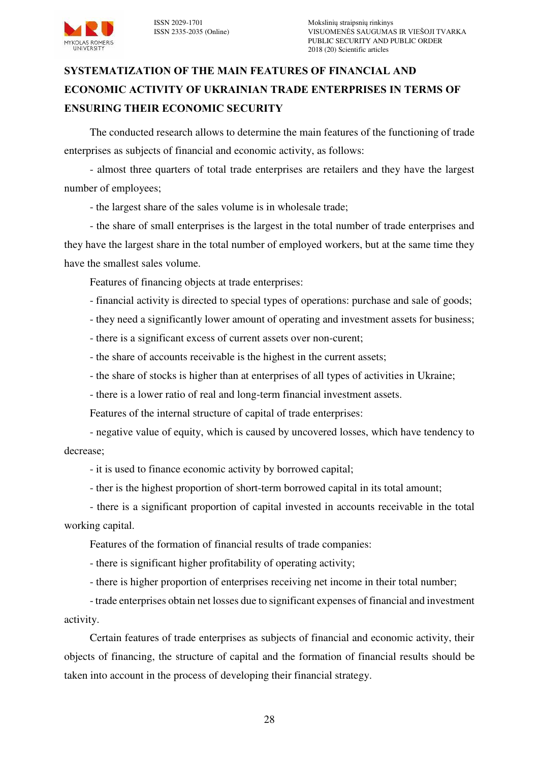

# **SYSTEMATIZATION OF THE MAIN FEATURES OF FINANCIAL AND ECONOMIC ACTIVITY OF UKRAINIAN TRADE ENTERPRISES IN TERMS OF ENSURING THEIR ECONOMIC SECURITY**

The conducted research allows to determine the main features of the functioning of trade enterprises as subjects of financial and economic activity, as follows:

- almost three quarters of total trade enterprises are retailers and they have the largest number of employees;

- the largest share of the sales volume is in wholesale trade;

- the share of small enterprises is the largest in the total number of trade enterprises and they have the largest share in the total number of employed workers, but at the same time they have the smallest sales volume.

Features of financing objects at trade enterprises:

- financial activity is directed to special types of operations: purchase and sale of goods;
- they need a significantly lower amount of operating and investment assets for business;
- there is a significant excess of current assets over non-curent;
- the share of accounts receivable is the highest in the current assets;
- the share of stocks is higher than at enterprises of all types of activities in Ukraine;
- there is a lower ratio of real and long-term financial investment assets.

Features of the internal structure of capital of trade enterprises:

- negative value of equity, which is caused by uncovered losses, which have tendency to decrease;

- it is used to finance economic activity by borrowed capital;

- ther is the highest proportion of short-term borrowed capital in its total amount;

- there is a significant proportion of capital invested in accounts receivable in the total working capital.

Features of the formation of financial results of trade companies:

- there is significant higher profitability of operating activity;

- there is higher proportion of enterprises receiving net income in their total number;

- trade enterprises obtain net losses due to significant expenses of financial and investment activity.

Certain features of trade enterprises as subjects of financial and economic activity, their objects of financing, the structure of capital and the formation of financial results should be taken into account in the process of developing their financial strategy.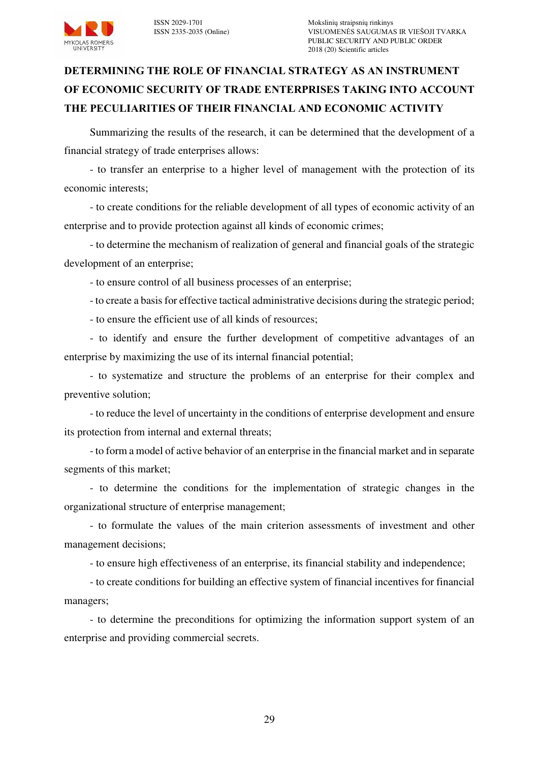

# **DETERMINING THE ROLE OF FINANCIAL STRATEGY AS AN INSTRUMENT OF ECONOMIC SECURITY OF TRADE ENTERPRISES TAKING INTO ACCOUNT THE PECULIARITIES OF THEIR FINANCIAL AND ECONOMIC ACTIVITY**

Summarizing the results of the research, it can be determined that the development of a financial strategy of trade enterprises allows:

- to transfer an enterprise to a higher level of management with the protection of its economic interests;

- to create conditions for the reliable development of all types of economic activity of an enterprise and to provide protection against all kinds of economic crimes;

- to determine the mechanism of realization of general and financial goals of the strategic development of an enterprise;

- to ensure control of all business processes of an enterprise;

- to create a basis for effective tactical administrative decisions during the strategic period;

- to ensure the efficient use of all kinds of resources;

- to identify and ensure the further development of competitive advantages of an enterprise by maximizing the use of its internal financial potential;

- to systematize and structure the problems of an enterprise for their complex and preventive solution;

- to reduce the level of uncertainty in the conditions of enterprise development and ensure its protection from internal and external threats;

- to form a model of active behavior of an enterprise in the financial market and in separate segments of this market;

- to determine the conditions for the implementation of strategic changes in the organizational structure of enterprise management;

- to formulate the values of the main criterion assessments of investment and other management decisions;

- to ensure high effectiveness of an enterprise, its financial stability and independence;

- to create conditions for building an effective system of financial incentives for financial managers;

- to determine the preconditions for optimizing the information support system of an enterprise and providing commercial secrets.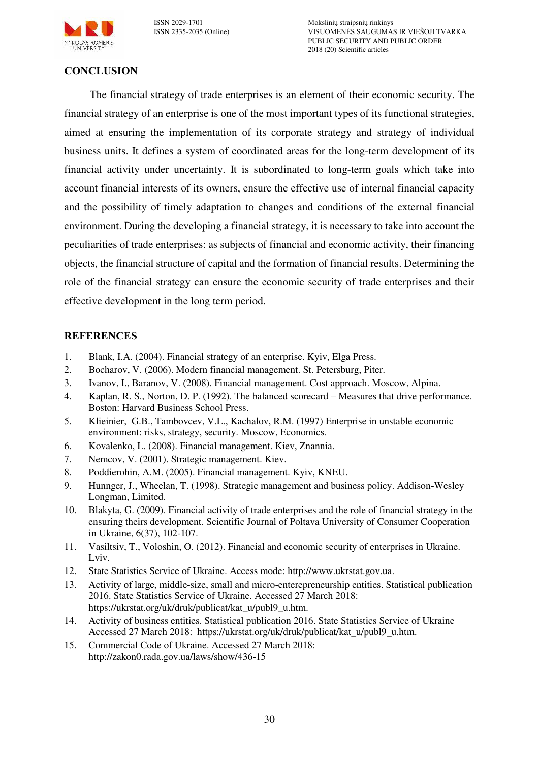

ISSN 2029-1701 Mokslinių straipsnių rinkinys VISUOMENĖS SAUGUMAS IR VIEŠOJI TVARKA PUBLIC SECURITY AND PUBLIC ORDER 2018 (20) Scientific articles

### **CONCLUSION**

The financial strategy of trade enterprises is an element of their economic security. The financial strategy of an enterprise is one of the most important types of its functional strategies, aimed at ensuring the implementation of its corporate strategy and strategy of individual business units. It defines a system of coordinated areas for the long-term development of its financial activity under uncertainty. It is subordinated to long-term goals which take into account financial interests of its owners, ensure the effective use of internal financial capacity and the possibility of timely adaptation to changes and conditions of the external financial environment. During the developing a financial strategy, it is necessary to take into account the peculiarities of trade enterprises: as subjects of financial and economic activity, their financing objects, the financial structure of capital and the formation of financial results. Determining the role of the financial strategy can ensure the economic security of trade enterprises and their effective development in the long term period.

### **REFERENCES**

- 1. Blank, I.A. (2004). Financial strategy of an enterprise. Kyiv, Elga Press.
- 2. Bocharov, V. (2006). Modern financial management. St. Petersburg, Piter.
- 3. Ivanov, I., Baranov, V. (2008). Financial management. Cost approach. Moscow, Alpina.
- 4. Kaplan, R. S., Norton, D. P. (1992). The balanced scorecard Measures that drive performance. Boston: Harvard Business School Press.
- 5. Klieinier, G.B., Tambovcev, V.L., Kachalov, R.M. (1997) Enterprise in unstable economic environment: risks, strategy, security. Moscow, Economics.
- 6. Kovalenko, L. (2008). Financial management. Kiev, Znannia.
- 7. Nemcov, V. (2001). Strategic management. Kiev.
- 8. Poddierohin, A.M. (2005). Financial management. Kyiv, KNEU.
- 9. Hunnger, J., Wheelan, T. (1998). Strategic management and business policy. Addison-Wesley Longman, Limited.
- 10. Blakyta, G. (2009). Financial activity of trade enterprises and the role of financial strategy in the ensuring theirs development. Scientific Journal of Poltava University of Consumer Cooperation in Ukraine, 6(37), 102-107.
- 11. Vasiltsiv, T., Voloshin, O. (2012). Financial and economic security of enterprises in Ukraine. Lviv.
- 12. State Statistics Service of Ukraine. Access mode: [http://www.ukrstat.gov.ua.](http://www.ukrstat.gov.ua/)
- 13. Аctivity of large, middle-size, small and micro-enterepreneurship entities. Statistical publication 2016. State Statistics Service of Ukraine. Accessed 27 March 2018: https://ukrstat.org/uk/druk/publicat/kat\_u/publ9\_u.htm.
- 14. Activity of business entities. Statistical publication 2016. State Statistics Service of Ukraine Accessed 27 March 2018: https://ukrstat.org/uk/druk/publicat/kat\_u/publ9\_u.htm.
- 15. Commercial Code of Ukraine. Accessed 27 March 2018: http://zakon0.rada.gov.ua/laws/show/436-15